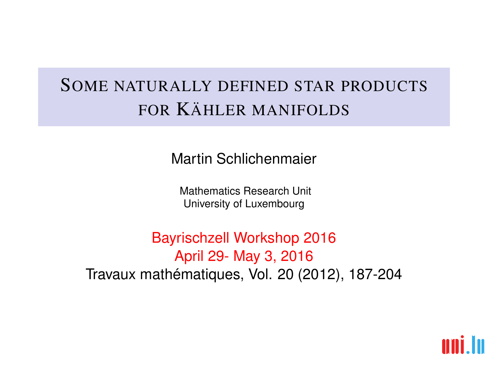# SOME NATURALLY DEFINED STAR PRODUCTS FOR KÄHLER MANIFOLDS

Martin Schlichenmaier

Mathematics Research Unit University of Luxembourg

Bayrischzell Workshop 2016 April 29- May 3, 2016 Travaux mathématiques, Vol. 20 (2012), 187-204

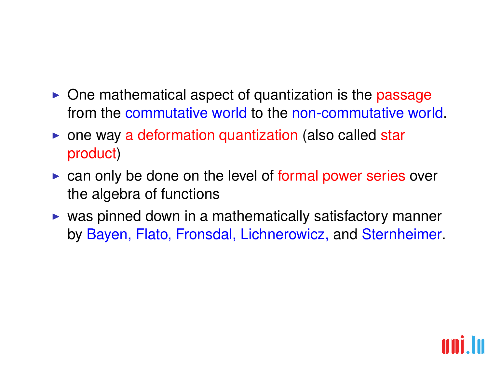- $\triangleright$  One mathematical aspect of quantization is the passage from the commutative world to the non-commutative world.
- $\triangleright$  one way a deformation quantization (also called star product)
- $\triangleright$  can only be done on the level of formal power series over the algebra of functions
- $\triangleright$  was pinned down in a mathematically satisfactory manner by Bayen, Flato, Fronsdal, Lichnerowicz, and Sternheimer.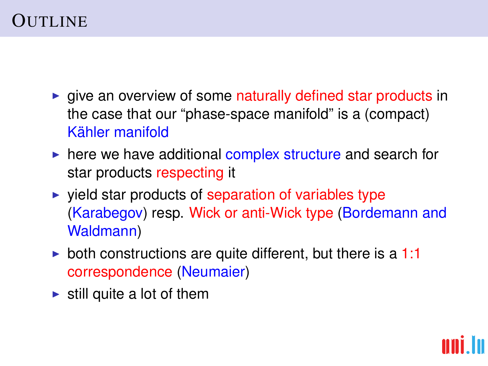# **OUTLINE**

- $\triangleright$  give an overview of some naturally defined star products in the case that our "phase-space manifold" is a (compact) Kähler manifold
- $\triangleright$  here we have additional complex structure and search for star products respecting it
- $\triangleright$  vield star products of separation of variables type (Karabegov) resp. Wick or anti-Wick type (Bordemann and Waldmann)
- both constructions are quite different, but there is a  $1:1$ correspondence (Neumaier)
- $\blacktriangleright$  still quite a lot of them

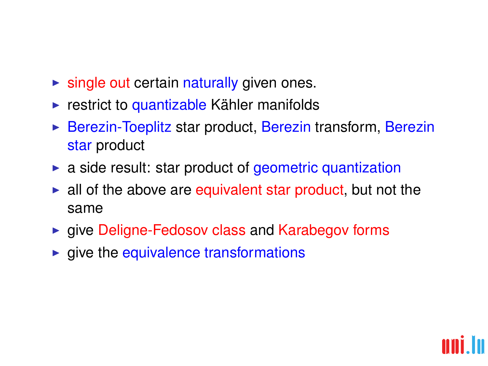- $\blacktriangleright$  single out certain naturally given ones.
- $\triangleright$  restrict to quantizable Kähler manifolds
- $\triangleright$  Berezin-Toeplitz star product, Berezin transform, Berezin star product
- $\triangleright$  a side result: star product of geometric quantization
- $\blacktriangleright$  all of the above are equivalent star product, but not the same
- $\triangleright$  give Deligne-Fedosov class and Karabegov forms
- $\blacktriangleright$  give the equivalence transformations

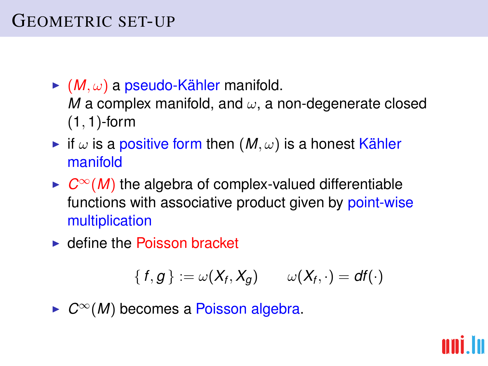# GEOMETRIC SET-UP

- $\blacktriangleright$  (*M*,  $\omega$ ) a pseudo-Kähler manifold. *M* a complex manifold, and  $\omega$ , a non-degenerate closed  $(1, 1)$ -form
- if  $\omega$  is a positive form then  $(M, \omega)$  is a honest Kähler manifold
- ►  $C^{\infty}(M)$  the algebra of complex-valued differentiable functions with associative product given by point-wise multiplication
- $\blacktriangleright$  define the Poisson bracket

$$
\{f,g\}:=\omega(X_f,X_g)\qquad \omega(X_f,\cdot)=df(\cdot)
$$

<sup>I</sup> *C*∞(*M*) becomes a Poisson algebra.

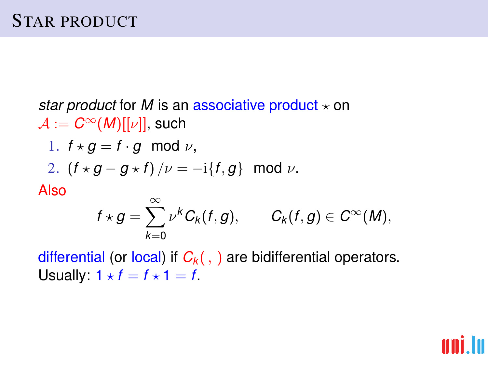*star product* for *M* is an associative product  $\star$  on  $\mathcal{A} := C^{\infty}(M)[[\nu]]$ , such 1.  $f \star q = f \cdot q \mod \nu$ , 2.  $(f \star g - g \star f)/\nu = -i\{f, g\}$  mod  $\nu$ . Also  $f \star g = \sum^{\infty}$  $\nu^{k} C_{k}(f,g), \qquad C_{k}(f,g) \in C^{\infty}(M),$ 

differential (or local) if  $C_k($ , ) are bidifferential operators. Usually:  $1 \star f = f \star 1 = f$ .

*k*=0

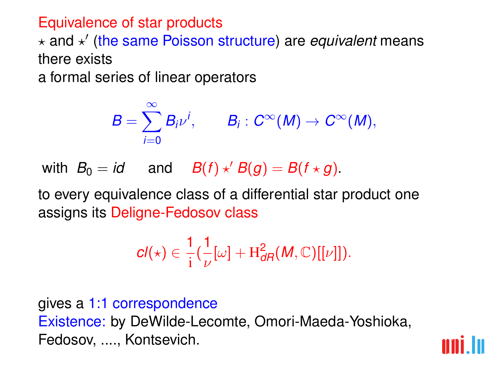#### Equivalence of star products

? and ? 0 (the same Poisson structure) are *equivalent* means there exists

a formal series of linear operators

$$
B=\sum_{i=0}^\infty B_i\nu^i, \qquad B_i:C^\infty(M)\to C^\infty(M),
$$

with  $B_0 = id$  and  $B(f) \star' B(g) = B(f \star g)$ .

to every equivalence class of a differential star product one assigns its Deligne-Fedosov class

$$
cl(\star) \in \frac{1}{i} \left( \frac{1}{\nu} [\omega] + H_{dR}^2(M, \mathbb{C})[[\nu]] \right).
$$

gives a 1:1 correspondence Existence: by DeWilde-Lecomte, Omori-Maeda-Yoshioka, Fedosov, ...., Kontsevich.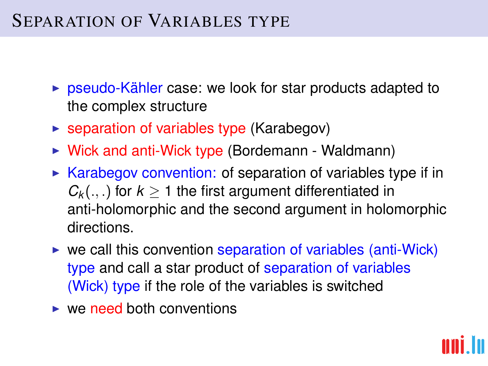# SEPARATION OF VARIABLES TYPE

- $\triangleright$  pseudo-Kähler case: we look for star products adapted to the complex structure
- $\triangleright$  separation of variables type (Karabegov)
- $\triangleright$  Wick and anti-Wick type (Bordemann Waldmann)
- $\triangleright$  Karabegov convention: of separation of variables type if in  $C_k$ (...) for  $k > 1$  the first argument differentiated in anti-holomorphic and the second argument in holomorphic directions.
- $\triangleright$  we call this convention separation of variables (anti-Wick) type and call a star product of separation of variables (Wick) type if the role of the variables is switched
- $\triangleright$  we need both conventions

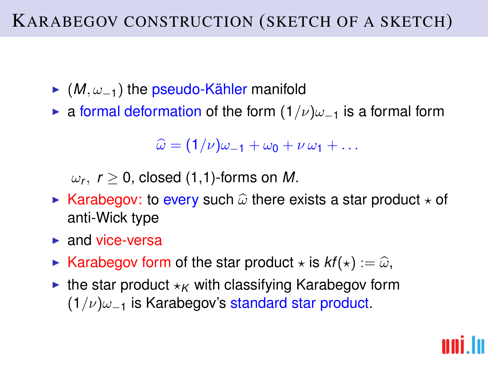- $\blacktriangleright$  (*M*,  $\omega_{-1}$ ) the pseudo-Kähler manifold
- **Example a** formal deformation of the form  $(1/\nu)\omega_{-1}$  is a formal form

 $\widehat{\omega} = (1/\nu)\omega_{-1} + \omega_0 + \nu \omega_1 + \ldots$ 

 $\omega_{\mathsf{r}},\;\mathsf{r}\geq 0,$  closed (1,1)-forms on  $M.$ 

- **EXA** Karabegov: to every such  $\hat{\omega}$  there exists a star product  $\star$  of anti-Wick type
- $\blacktriangleright$  and vice-versa
- **Example X** Karabegov form of the star product  $\star$  is  $kf(\star) := \hat{\omega}$ ,
- $\blacktriangleright$  the star product  $\star_K$  with classifying Karabegov form  $(1/\nu)\omega_{-1}$  is Karabegov's standard star product.

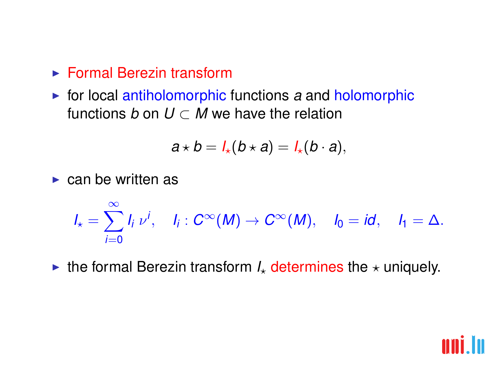- $\blacktriangleright$  Formal Berezin transform
- $\triangleright$  for local antiholomorphic functions  $a$  and holomorphic functions *b* on  $U \subset M$  we have the relation

$$
a\star b=l_{\star}(b\star a)=l_{\star}(b\cdot a),
$$

 $\triangleright$  can be written as

$$
I_{\star}=\sum_{i=0}^{\infty}I_{i}v^{i}, \quad I_{i}: C^{\infty}(M)\rightarrow C^{\infty}(M), \quad I_{0}=id, \quad I_{1}=\Delta.
$$

In the formal Berezin transform  $I_{\star}$  determines the  $\star$  uniquely.

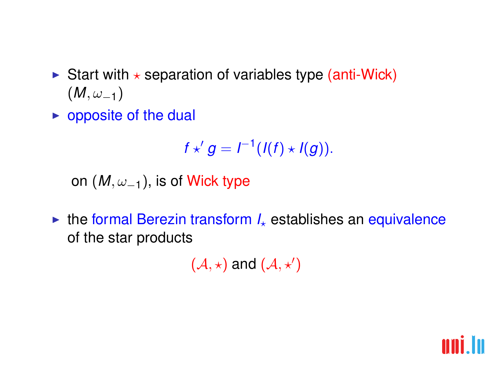- Start with  $\star$  separation of variables type (anti-Wick)  $(M, \omega_{-1})$
- $\triangleright$  opposite of the dual

$$
f\star' g=I^{-1}(I(f)\star I(g)).
$$

on  $(M, \omega_{-1})$ , is of Wick type

 $\triangleright$  the formal Berezin transform  $I_{\star}$  establishes an equivalence of the star products

 $(\mathcal{A}, \star)$  and  $(\mathcal{A}, \star')$ 

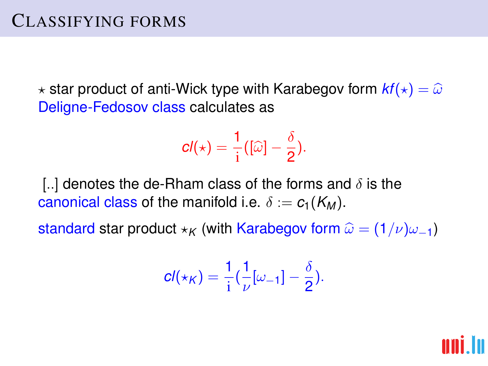$\star$  star product of anti-Wick type with Karabegov form  $kf(\star) = \widehat{\omega}$ Deligne-Fedosov class calculates as

$$
cl(\star)=\frac{1}{i}([\widehat{\omega}]-\frac{\delta}{2}).
$$

[..] denotes the de-Rham class of the forms and  $\delta$  is the canonical class of the manifold i.e.  $\delta := c_1(K_M)$ .

standard star product  $\star$ <sup>K</sup> (with Karabegov form  $\hat{\omega} = (1/\nu)\omega_{-1}$ )

$$
cl(\star_K)=\frac{1}{i}(\frac{1}{\nu}[\omega_{-1}]-\frac{\delta}{2}).
$$

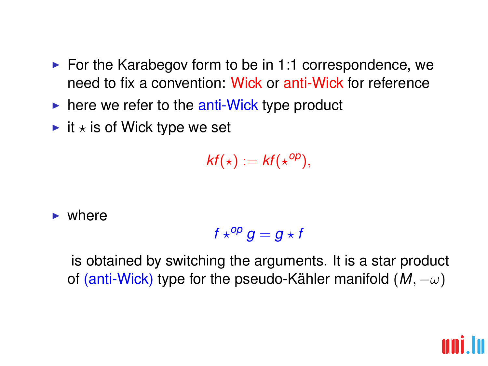- $\triangleright$  For the Karabegov form to be in 1:1 correspondence, we need to fix a convention: Wick or anti-Wick for reference
- $\triangleright$  here we refer to the anti-Wick type product
- $\blacktriangleright$  it  $\star$  is of Wick type we set

 $kf(\star) := kf(\star^{op}),$ 

 $\blacktriangleright$  where

$$
f\star^{op}g=g\star f
$$

is obtained by switching the arguments. It is a star product of (anti-Wick) type for the pseudo-Kähler manifold  $(M, -\omega)$ 

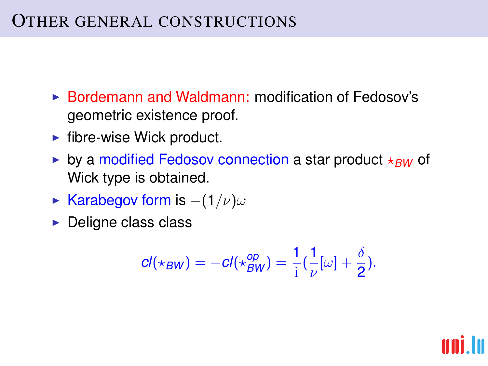## OTHER GENERAL CONSTRUCTIONS

- $\triangleright$  Bordemann and Waldmann: modification of Fedosov's geometric existence proof.
- $\blacktriangleright$  fibre-wise Wick product.
- by a modified Fedosov connection a star product  $*_{BW}$  of Wick type is obtained.
- ► Karabegov form is  $-(1/\nu)\omega$
- $\triangleright$  Deligne class class

$$
cl(\star_{BW})=-cl(\star_{BW}^{op})=\frac{1}{i}(\frac{1}{\nu}[\omega]+\frac{\delta}{2}).
$$

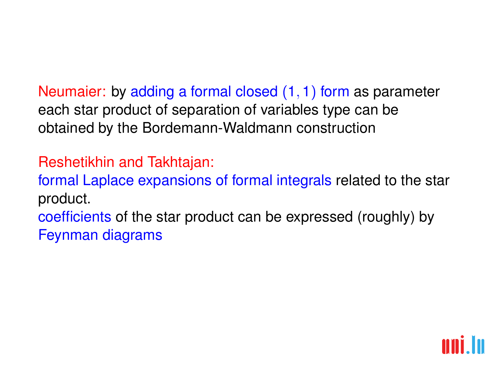Neumaier: by adding a formal closed (1, 1) form as parameter each star product of separation of variables type can be obtained by the Bordemann-Waldmann construction

## Reshetikhin and Takhtajan:

formal Laplace expansions of formal integrals related to the star product.

coefficients of the star product can be expressed (roughly) by Feynman diagrams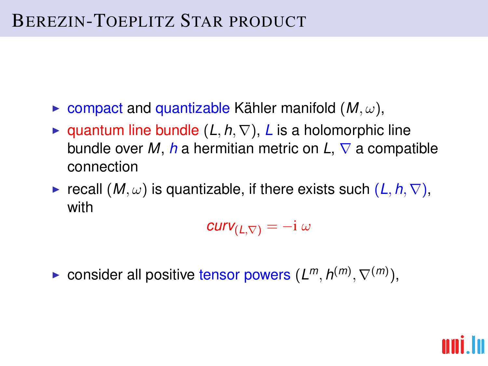# BEREZIN-TOEPLITZ STAR PRODUCT

- $\triangleright$  compact and quantizable Kähler manifold  $(M, \omega)$ ,
- **Example 1** quantum line bundle  $(L, h, \nabla)$ , *L* is a holomorphic line bundle over *M*, *h* a hermitian metric on *L*,  $\nabla$  a compatible connection
- **F** recall  $(M, \omega)$  is quantizable, if there exists such  $(L, h, \nabla)$ , with

 $curv_{(L,\nabla)} = -i \omega$ 

► consider all positive tensor powers  $(L^m, h^{(m)}, \nabla^{(m)})$ ,

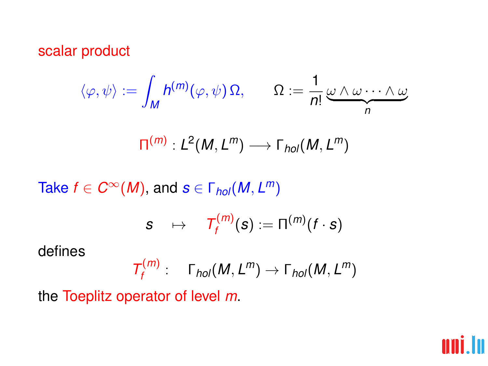### scalar product

$$
\langle \varphi, \psi \rangle := \int_M h^{(m)}(\varphi, \psi) \, \Omega, \qquad \Omega := \frac{1}{n!} \underbrace{\omega \wedge \omega \cdots \wedge \omega}_{n}
$$

$$
\Pi^{(m)}:L^2(M,L^m)\longrightarrow \Gamma_{hol}(M,L^m)
$$

 $\textsf{Take}\;f \in C^\infty(M), \,\textsf{and}\; \bm{s} \in \Gamma_{\textsf{hol}}(M,L^m)$ 

$$
s \quad \mapsto \quad T_f^{(m)}(s) := \Pi^{(m)}(f \cdot s)
$$

defines

$$
T_f^{(m)}: \quad \Gamma_{hol}(M,L^m) \to \Gamma_{hol}(M,L^m)
$$

the Toeplitz operator of level *m*.

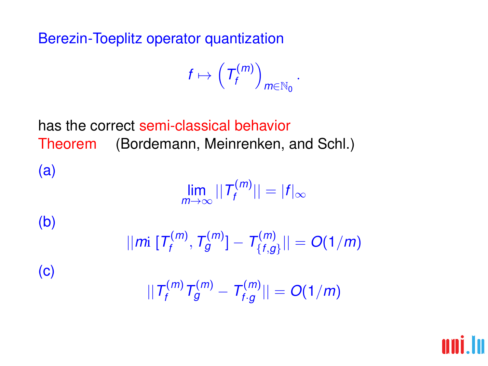## Berezin-Toeplitz operator quantization

(c)

$$
f\mapsto \left(\mathcal{T}_f^{(m)}\right)_{m\in\mathbb{N}_0}.
$$

has the correct semi-classical behavior Theorem (Bordemann, Meinrenken, and Schl.) (a)  $\lim_{m\to\infty}$  ||*T*<sup>(*m*)</sup>)  $|f''''| = |f|_{\infty}$ (b)

$$
||m[ T_f^{(m)}, T_g^{(m)}] - T_{\{f,g\}}^{(m)}|| = O(1/m)
$$
  

$$
|| T_f^{(m)} T_g^{(m)} - T_{f,g}^{(m)} || = O(1/m)
$$

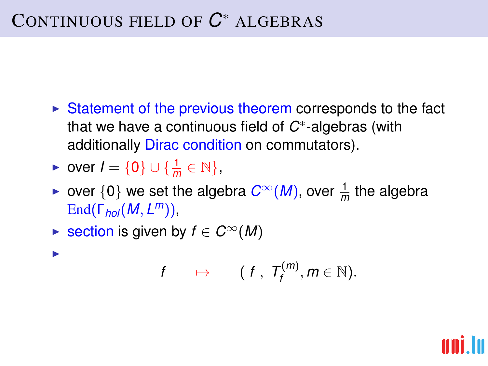# CONTINUOUS FIELD OF *C* <sup>∗</sup> ALGEBRAS

- $\triangleright$  Statement of the previous theorem corresponds to the fact that we have a continuous field of *C* ∗ -algebras (with additionally Dirac condition on commutators).
- ► over  $I = \{0\} \cup \{\frac{1}{m} \in \mathbb{N}\},\$

I

- ► over  $\{0\}$  we set the algebra  $C^{\infty}(M)$ , over  $\frac{1}{m}$  the algebra End(Γ*hol*(*M*, *L <sup>m</sup>*)),
- ► section is given by  $f \in C^{\infty}(M)$

$$
f \qquad \mapsto \qquad (\; f \;,\; T^{(m)}_f, m \in \mathbb{N}).
$$

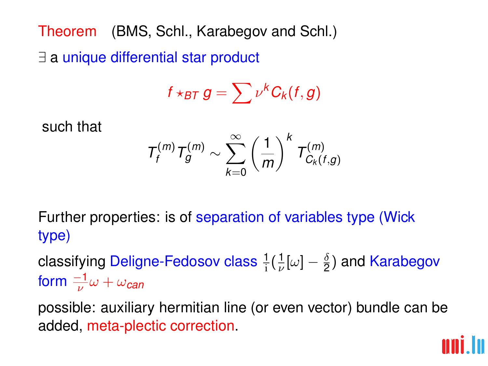Theorem (BMS, Schl., Karabegov and Schl.) ∃ a unique differential star product

$$
f\star_{BT} g=\sum\nu^k G_k(f,g)
$$

such that

$$
T_f^{(m)}T_g^{(m)} \sim \sum_{k=0}^{\infty} \left(\frac{1}{m}\right)^k T_{C_k(f,g)}^{(m)}
$$

Further properties: is of separation of variables type (Wick type)

classifying Deligne-Fedosov class  $\frac{1}{\mathrm{i}}(\frac{1}{\nu}[\omega] - \frac{\delta}{2}$  $\frac{\delta}{2}$ ) and Karabegov form  $\frac{-1}{\nu}\omega+\omega_{\boldsymbol{can}}$ 

possible: auxiliary hermitian line (or even vector) bundle can be added, meta-plectic correction.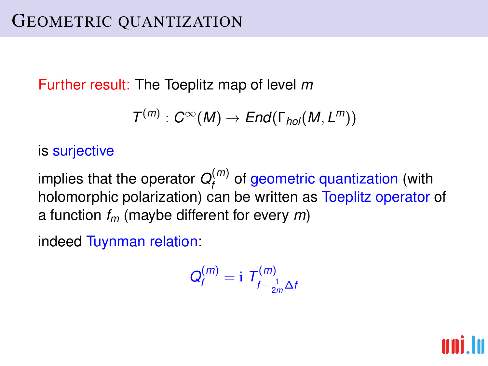Further result: The Toeplitz map of level *m*

$$
\mathcal{T}^{(m)}: C^{\infty}(M) \to End(\Gamma_{hol}(M,L^m))
$$

### is surjective

implies that the operator  $Q_f^{(m)}$ *f* of geometric quantization (with holomorphic polarization) can be written as Toeplitz operator of a function *f<sup>m</sup>* (maybe different for every *m*)

indeed Tuynman relation:

$$
Q_f^{(m)} = \mathrm{i} \; T_{f-\frac{1}{2m}\Delta f}^{(m)}
$$

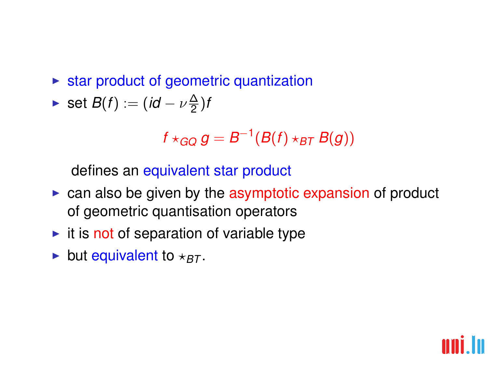$\triangleright$  star product of geometric quantization

$$
\blacktriangleright \ \mathsf{set}\ B(f):=(id-\nu\frac{\Delta}{2})f
$$

$$
f\star_{GG}g=B^{-1}(B(f)\star_{BT}B(g))
$$

defines an equivalent star product

- $\triangleright$  can also be given by the asymptotic expansion of product of geometric quantisation operators
- $\triangleright$  it is not of separation of variable type
- $\blacktriangleright$  but equivalent to  $\star_{BT}$ .

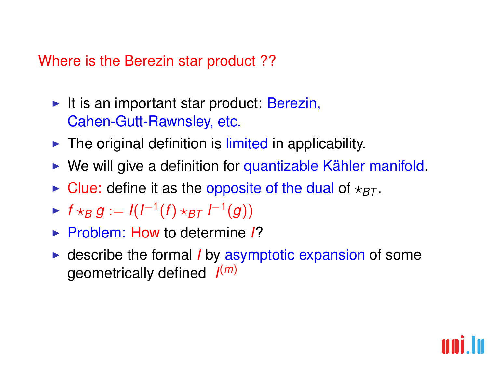#### Where is the Berezin star product ??

- It is an important star product: Berezin, Cahen-Gutt-Rawnsley, etc.
- $\blacktriangleright$  The original definition is limited in applicability.
- $\triangleright$  We will give a definition for quantizable Kähler manifold.
- $\triangleright$  Clue: define it as the opposite of the dual of  $\star_{BT}$ .
- ►  $f \star_B g := I(I^{-1}(f) \star_{BT} I^{-1}(g))$
- ► Problem: How to determine 1?
- **Exercise the formal** *I* by asymptotic expansion of some geometrically defined *I* (*m*)

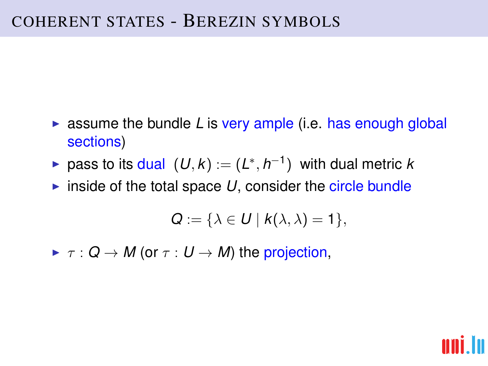- $\triangleright$  assume the bundle *L* is very ample (i.e. has enough global sections)
- ► pass to its dual  $(U, k) := (L^*, h^{-1})$  with dual metric *k*
- inside of the total space  $U$ , consider the circle bundle

$$
Q:=\{\lambda\in U\mid k(\lambda,\lambda)=1\},
$$

 $\blacktriangleright \tau : Q \to M$  (or  $\tau : U \to M$ ) the projection,

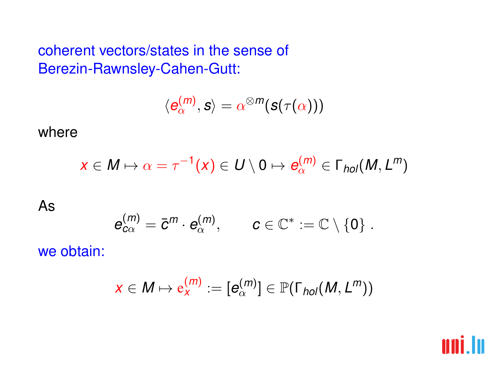coherent vectors/states in the sense of Berezin-Rawnsley-Cahen-Gutt:

$$
\langle \boldsymbol{e}_\alpha^{(m)}, \boldsymbol{s}\rangle = \alpha^{\otimes m}(\boldsymbol{s}(\tau(\alpha)))
$$

where

$$
x\in M\mapsto \alpha=\tau^{-1}(x)\in U\setminus 0\mapsto e_\alpha^{(m)}\in \Gamma_{hol}(M,L^m)
$$

As

$$
e_{c\alpha}^{(m)} = \bar{c}^m \cdot e_\alpha^{(m)}, \qquad c \in \mathbb{C}^* := \mathbb{C} \setminus \{0\}.
$$

we obtain:

$$
x\in M\mapsto \mathrm{e}^{(m)}_x:=[e^{(m)}_\alpha]\in \mathbb{P}(\Gamma_{hol}(M,L^m))
$$

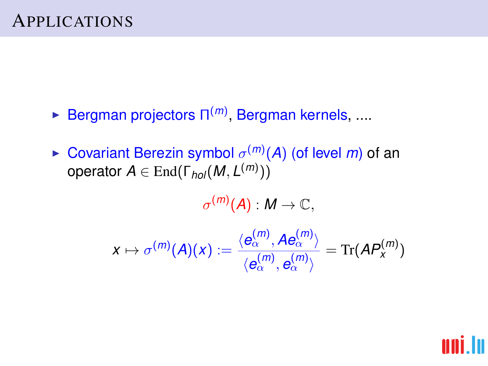- **Example Bergman projectors Π<sup>(m)</sup>, Bergman kernels, ....**
- **Exercise Covariant Berezin symbol**  $\sigma^{(m)}(A)$  (of level m) of an  $\mathsf{operator}\ A \in \mathsf{End}(\mathsf{\Gamma}_{\mathsf{hol}}(M,L^{(m)}))$

 $\sigma^{(m)}({\boldsymbol A}) : {\boldsymbol M} \to {\mathbb C},$ 

 $\chi \mapsto \sigma^{(m)}(A)(\chi) := \frac{\langle e^{(m)}_{\alpha}, A e^{(m)}_{\alpha} \rangle}{\langle m \rangle \langle m \rangle}$  $\langle e_\alpha^{(m)},e_\alpha^{(m)}\rangle$  $=$  Tr( $AP_x^{(m)}$ )

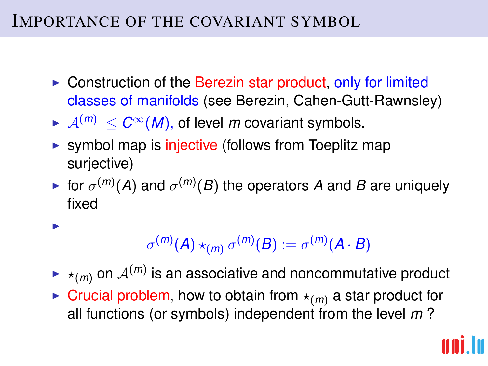## IMPORTANCE OF THE COVARIANT SYMBOL

I

- $\triangleright$  Construction of the Berezin star product, only for limited classes of manifolds (see Berezin, Cahen-Gutt-Rawnsley)
- $\blacktriangleright$   $\mathcal{A}^{(m)} \leq C^{\infty}(M)$ , of level *m* covariant symbols.
- $\triangleright$  symbol map is injective (follows from Toeplitz map surjective)
- $\blacktriangleright$  for  $\sigma^{(m)}(A)$  and  $\sigma^{(m)}(B)$  the operators A and B are uniquely fixed

$$
\sigma^{(m)}(A)\star_{(m)}\sigma^{(m)}(B):=\sigma^{(m)}(A\cdot B)
$$

- $\blacktriangleright\star_{(m)}$  on  $\mathcal{A}^{(m)}$  is an associative and noncommutative product
- $\triangleright$  Crucial problem, how to obtain from  $\star$ <sub>(m)</sub> a star product for all functions (or symbols) independent from the level *m* ?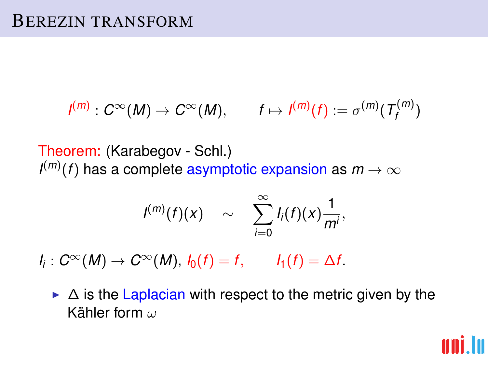$$
I^{(m)}: C^{\infty}(M) \to C^{\infty}(M), \qquad f \mapsto I^{(m)}(f) := \sigma^{(m)}(T_f^{(m)})
$$

Theorem: (Karabegov - Schl.)  $I^{(m)}(f)$  has a complete asymptotic expansion as  $m\to\infty$ 

$$
I^{(m)}(f)(x) \sim \sum_{i=0}^{\infty} I_i(f)(x) \frac{1}{m^i},
$$

 $I_i: C^\infty(M) \to C^\infty(M)$ ,  $I_0(f) = f$ ,  $I_1(f) = \Delta f$ .

 $\triangleright$   $\Delta$  is the Laplacian with respect to the metric given by the Kähler form ω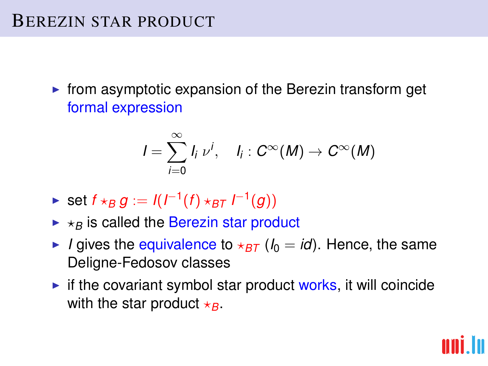## BEREZIN STAR PRODUCT

 $\triangleright$  from asymptotic expansion of the Berezin transform get formal expression

$$
I=\sum_{i=0}^{\infty}I_i\,\nu^i,\quad I_i:C^\infty(M)\to C^\infty(M)
$$

- ► set  $f \star_B g := I(I^{-1}(f) \star_{BT} I^{-1}(g))$
- $\triangleright$   $\star$ <sub>B</sub> is called the Berezin star product
- I *I* gives the equivalence to  $\star$ <sub>BT</sub> ( $I_0 = id$ ). Hence, the same Deligne-Fedosov classes
- $\triangleright$  if the covariant symbol star product works, it will coincide with the star product  $\star$ <sub>*B*</sub>.

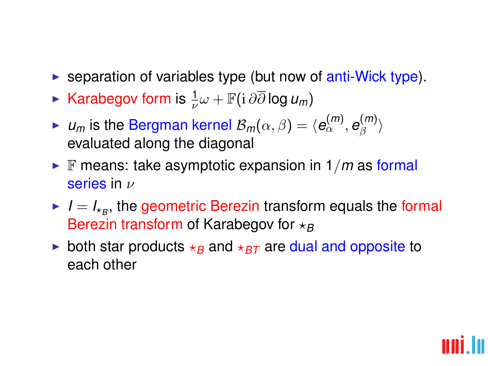- $\triangleright$  separation of variables type (but now of anti-Wick type).
- ► Karabegov form is  $\frac{1}{\nu}\omega + \mathbb{F}(\mathrm{i}\,\partial\overline{\partial}\log u_m)$
- $\blacktriangleright$  *u<sub>m</sub>* is the Bergman kernel  $\mathcal{B}_m(\alpha,\beta) = \langle \bm{e}_\alpha^{(m)}, \bm{e}_\beta^{(m)} \rangle$  $\langle \begin{matrix} m \end{matrix} \rangle$ evaluated along the diagonal
- **F** means: take asymptotic expansion in  $1/m$  as formal series in ν
- $I = I_{\star B}$ , the geometric Berezin transform equals the formal Berezin transform of Karabegov for  $\star_B$
- both star products  $\star_B$  and  $\star_{BT}$  are dual and opposite to each other

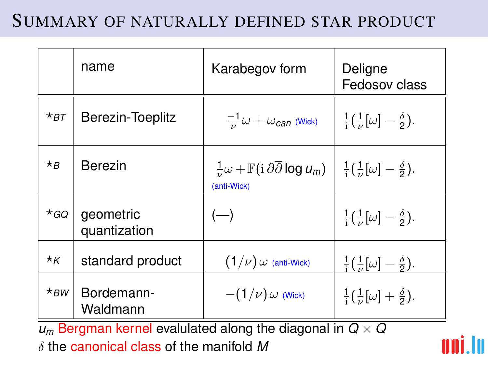# SUMMARY OF NATURALLY DEFINED STAR PRODUCT

|                      | name                      | Karabegov form                                                                                                                                                       | Deligne<br>Fedosov class                               |
|----------------------|---------------------------|----------------------------------------------------------------------------------------------------------------------------------------------------------------------|--------------------------------------------------------|
| $\star$ BT           | Berezin-Toeplitz          | $\frac{-1}{\nu}\omega + \omega_{\text{can}}$ (Wick)                                                                                                                  | $\frac{1}{i}(\frac{1}{\nu}[\omega]-\frac{\delta}{2}).$ |
| $\star_B$            | Berezin                   | $\frac{1}{\mu}\omega + \mathbb{F}(\mathrm{i}\,\partial\overline{\partial}\log u_m)$ $\frac{1}{\mathrm{i}}(\frac{1}{\mu}[\omega] - \frac{\delta}{2}).$<br>(anti-Wick) |                                                        |
| *GQ                  | geometric<br>quantization | $(-)$                                                                                                                                                                | $\frac{1}{i}(\frac{1}{\nu}[\omega]-\frac{\delta}{2}).$ |
| $\star_{\mathsf{K}}$ | standard product          | $(1/\nu)$ $\omega$ (anti-Wick)                                                                                                                                       | $\frac{1}{i}(\frac{1}{\nu}[\omega]-\frac{\delta}{2}).$ |
| $\star$ BW           | Bordemann-<br>Waldmann    | $-(1/\nu)$ $\omega$ (Wick)                                                                                                                                           | $\frac{1}{i}(\frac{1}{\nu}[\omega]+\frac{\delta}{2}).$ |

 $u_m$  Bergman kernel evalulated along the diagonal in  $Q \times Q$ δ the canonical class of the manifold *M*

In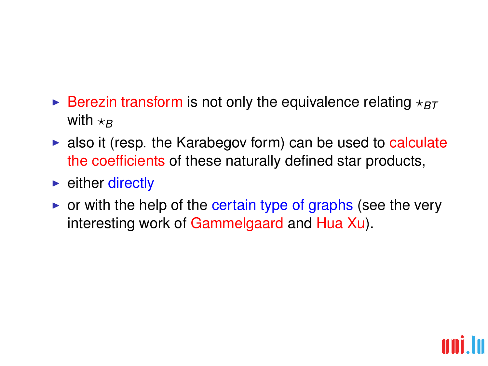- **Example 3** Berezin transform is not only the equivalence relating  $*_{BT}$ with  $\star$ *B*
- $\blacktriangleright$  also it (resp. the Karabegov form) can be used to calculate the coefficients of these naturally defined star products,
- $\blacktriangleright$  either directly
- $\triangleright$  or with the help of the certain type of graphs (see the very interesting work of Gammelgaard and Hua Xu).